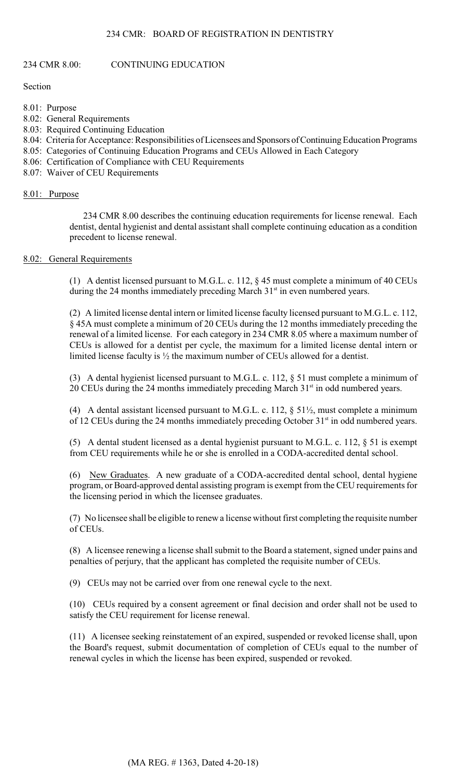## 234 CMR: BOARD OF REGISTRATION IN DENTISTRY

#### 234 CMR 8.00: CONTINUING EDUCATION

Section

8.01: Purpose

- 8.02: General Requirements
- 8.03: Required Continuing Education
- 8.04: Criteria for Acceptance: Responsibilities of Licensees and Sponsors of Continuing Education Programs
- 8.05: Categories of Continuing Education Programs and CEUs Allowed in Each Category
- 8.06: Certification of Compliance with CEU Requirements
- 8.07: Waiver of CEU Requirements

#### 8.01: Purpose

234 CMR 8.00 describes the continuing education requirements for license renewal. Each dentist, dental hygienist and dental assistant shall complete continuing education as a condition precedent to license renewal.

## 8.02: General Requirements

(1) A dentist licensed pursuant to M.G.L. c. 112, § 45 must complete a minimum of 40 CEUs during the 24 months immediately preceding March  $31<sup>st</sup>$  in even numbered years.

 (2) A limited license dental intern or limited license faculty licensed pursuant to M.G.L. c. 112, renewal of a limited license. For each category in 234 CMR 8.05 where a maximum number of § 45A must complete a minimum of 20 CEUs during the 12 months immediately preceding the CEUs is allowed for a dentist per cycle, the maximum for a limited license dental intern or limited license faculty is ½ the maximum number of CEUs allowed for a dentist.

(3) A dental hygienist licensed pursuant to M.G.L. c. 112, § 51 must complete a minimum of 20 CEUs during the 24 months immediately preceding March  $31<sup>st</sup>$  in odd numbered years.

of 12 CEUs during the 24 months immediately preceding October  $31<sup>st</sup>$  in odd numbered years. (4) A dental assistant licensed pursuant to M.G.L. c. 112,  $\S$  51 $\frac{1}{2}$ , must complete a minimum

(5) A dental student licensed as a dental hygienist pursuant to M.G.L. c. 112, § 51 is exempt from CEU requirements while he or she is enrolled in a CODA-accredited dental school.

(6) New Graduates. A new graduate of a CODA-accredited dental school, dental hygiene program, or Board-approved dental assisting program is exempt from the CEU requirements for the licensing period in which the licensee graduates.

 (7) No licensee shall be eligible to renew a license without first completing the requisite number of CEUs.

(8) A licensee renewing a license shall submit to the Board a statement, signed under pains and penalties of perjury, that the applicant has completed the requisite number of CEUs.

(9) CEUs may not be carried over from one renewal cycle to the next.

(10) CEUs required by a consent agreement or final decision and order shall not be used to satisfy the CEU requirement for license renewal.

(11) A licensee seeking reinstatement of an expired, suspended or revoked license shall, upon the Board's request, submit documentation of completion of CEUs equal to the number of renewal cycles in which the license has been expired, suspended or revoked.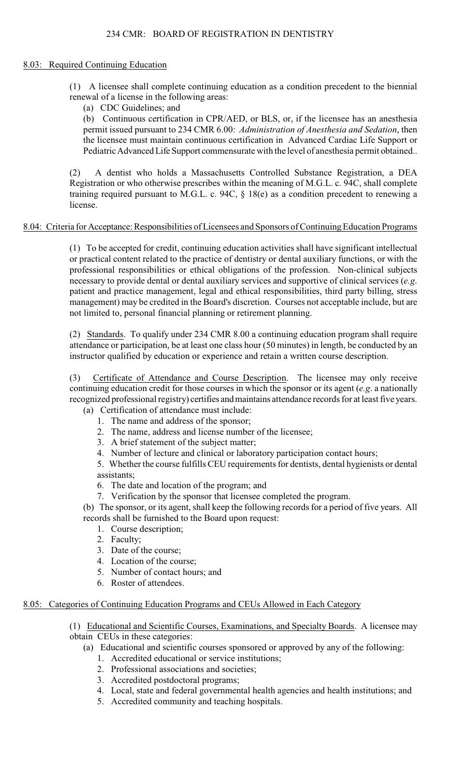# 234 CMR: BOARD OF REGISTRATION IN DENTISTRY

## 8.03: Required Continuing Education

(1) A licensee shall complete continuing education as a condition precedent to the biennial renewal of a license in the following areas:

(a) CDC Guidelines; and

(b) Continuous certification in CPR/AED, or BLS, or, if the licensee has an anesthesia permit issued pursuant to 234 CMR 6.00: *Administration of Anesthesia and Sedation*, then the licensee must maintain continuous certification in Advanced Cardiac Life Support or Pediatric Advanced Life Support commensurate with the level of anesthesia permit obtained..

 training required pursuant to M.G.L. c. 94C, § 18(e) as a condition precedent to renewing a (2) A dentist who holds a Massachusetts Controlled Substance Registration, a DEA Registration or who otherwise prescribes within the meaning of M.G.L. c. 94C, shall complete license.

## 8.04: Criteria for Acceptance: Responsibilities of Licensees and Sponsors of Continuing Education Programs

(1) To be accepted for credit, continuing education activities shall have significant intellectual or practical content related to the practice of dentistry or dental auxiliary functions, or with the professional responsibilities or ethical obligations of the profession. Non-clinical subjects necessary to provide dental or dental auxiliary services and supportive of clinical services (*e.g*. patient and practice management, legal and ethical responsibilities, third party billing, stress management) may be credited in the Board's discretion. Courses not acceptable include, but are not limited to, personal financial planning or retirement planning.

(2) Standards. To qualify under 234 CMR 8.00 a continuing education program shall require attendance or participation, be at least one class hour (50 minutes) in length, be conducted by an instructor qualified by education or experience and retain a written course description.

 (3) Certificate of Attendance and Course Description. The licensee may only receive continuing education credit for those courses in which the sponsor or its agent (*e.g*. a nationally recognized professional registry) certifies and maintains attendance records for at least five years.

- (a) Certification of attendance must include:
	- 1. The name and address of the sponsor;
	- 2. The name, address and license number of the licensee;
	- 3. A brief statement of the subject matter;
	- 4. Number of lecture and clinical or laboratory participation contact hours;

 5. Whether the course fulfills CEU requirements for dentists, dental hygienists or dental assistants;

- 6. The date and location of the program; and
- 7. Verification by the sponsor that licensee completed the program.

 (b) The sponsor, or its agent, shall keep the following records for a period of five years. All records shall be furnished to the Board upon request:

- 1. Course description;
- 2. Faculty;
- 3. Date of the course;
- 4. Location of the course;
- 5. Number of contact hours; and
- 6. Roster of attendees.

## 8.05: Categories of Continuing Education Programs and CEUs Allowed in Each Category

- (1) Educational and Scientific Courses, Examinations, and Specialty Boards. A licensee may
- obtain CEUs in these categories:
	- (a) Educational and scientific courses sponsored or approved by any of the following:
		- 1. Accredited educational or service institutions;
		- 2. Professional associations and societies;
		- 3. Accredited postdoctoral programs;
		- 4. Local, state and federal governmental health agencies and health institutions; and
		- 5. Accredited community and teaching hospitals.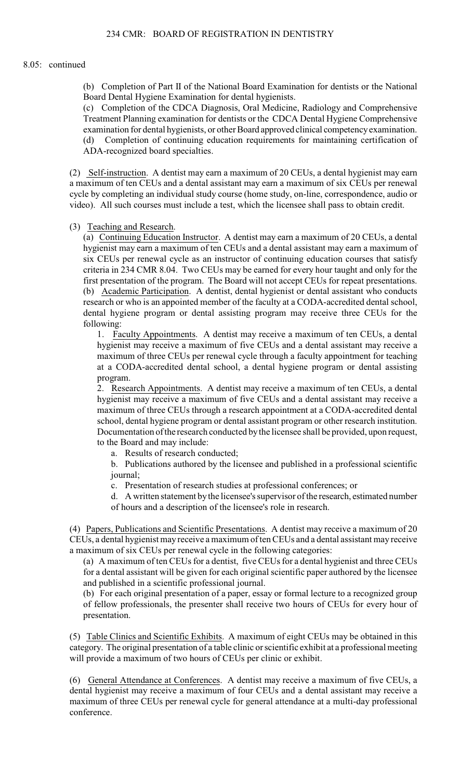(b) Completion of Part II of the National Board Examination for dentists or the National Board Dental Hygiene Examination for dental hygienists.

(c) Completion of the CDCA Diagnosis, Oral Medicine, Radiology and Comprehensive Treatment Planning examination for dentists or the CDCA Dental Hygiene Comprehensive examination for dental hygienists, or other Board approved clinical competency examination. (d) Completion of continuing education requirements for maintaining certification of ADA-recognized board specialties.

(2) Self-instruction. A dentist may earn a maximum of 20 CEUs, a dental hygienist may earn cycle by completing an individual study course (home study, on-line, correspondence, audio or a maximum of ten CEUs and a dental assistant may earn a maximum of six CEUs per renewal video). All such courses must include a test, which the licensee shall pass to obtain credit.

(3) Teaching and Research.

 first presentation of the program. The Board will not accept CEUs for repeat presentations. research or who is an appointed member of the faculty at a CODA-accredited dental school, (a) Continuing Education Instructor. A dentist may earn a maximum of 20 CEUs, a dental hygienist may earn a maximum of ten CEUs and a dental assistant may earn a maximum of six CEUs per renewal cycle as an instructor of continuing education courses that satisfy criteria in 234 CMR 8.04. Two CEUs may be earned for every hour taught and only for the (b) Academic Participation. A dentist, dental hygienist or dental assistant who conducts dental hygiene program or dental assisting program may receive three CEUs for the following:

1. Faculty Appointments. A dentist may receive a maximum of ten CEUs, a dental hygienist may receive a maximum of five CEUs and a dental assistant may receive a maximum of three CEUs per renewal cycle through a faculty appointment for teaching at a CODA-accredited dental school, a dental hygiene program or dental assisting program.

2. Research Appointments. A dentist may receive a maximum of ten CEUs, a dental hygienist may receive a maximum of five CEUs and a dental assistant may receive a maximum of three CEUs through a research appointment at a CODA-accredited dental school, dental hygiene program or dental assistant program or other research institution. Documentation of the research conducted by the licensee shall be provided, upon request, to the Board and may include:

a. Results of research conducted;

b. Publications authored by the licensee and published in a professional scientific journal;

c. Presentation of research studies at professional conferences; or

d. A written statement by the licensee's supervisor of the research, estimated number of hours and a description of the licensee's role in research.

(4) Papers, Publications and Scientific Presentations. A dentist may receive a maximum of 20 CEUs, a dental hygienist may receive a maximum of ten CEUs and a dental assistant may receive a maximum of six CEUs per renewal cycle in the following categories:

(a) A maximum of ten CEUs for a dentist, five CEUs for a dental hygienist and three CEUs for a dental assistant will be given for each original scientific paper authored by the licensee and published in a scientific professional journal.

 (b) For each original presentation of a paper, essay or formal lecture to a recognized group of fellow professionals, the presenter shall receive two hours of CEUs for every hour of presentation.

 (5) Table Clinics and Scientific Exhibits. A maximum of eight CEUs may be obtained in this category. The original presentation of a table clinic or scientific exhibit at a professional meeting will provide a maximum of two hours of CEUs per clinic or exhibit.

 dental hygienist may receive a maximum of four CEUs and a dental assistant may receive a (6) General Attendance at Conferences. A dentist may receive a maximum of five CEUs, a maximum of three CEUs per renewal cycle for general attendance at a multi-day professional conference.